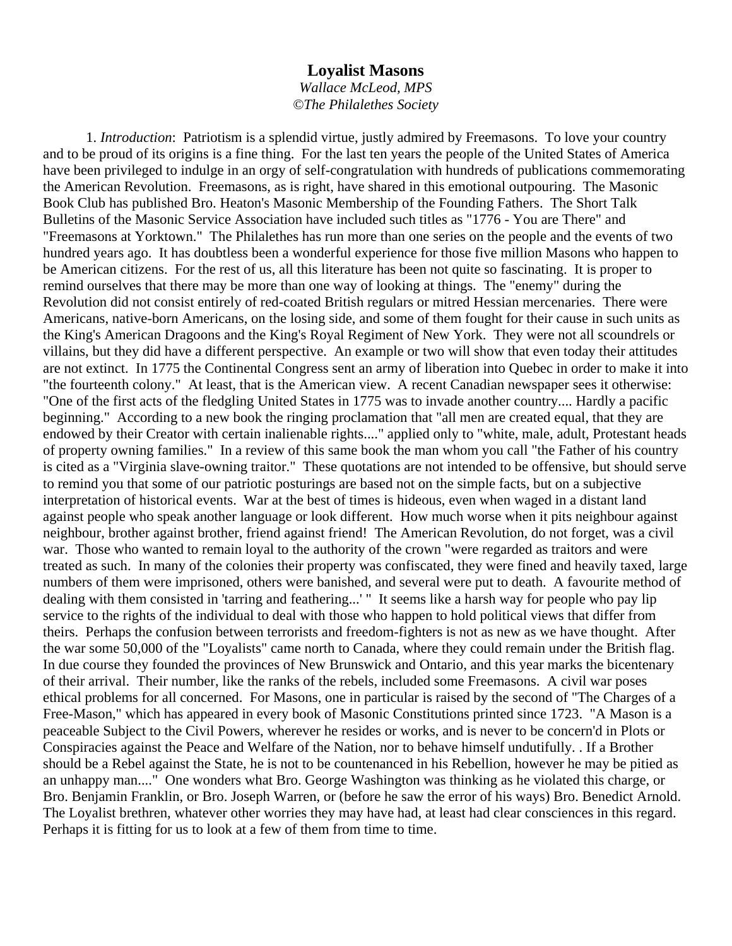## **Loyalist Masons**

*Wallace McLeod, MPS ©The Philalethes Society* 

1. *Introduction*: Patriotism is a splendid virtue, justly admired by Freemasons. To love your country and to be proud of its origins is a fine thing. For the last ten years the people of the United States of America have been privileged to indulge in an orgy of self-congratulation with hundreds of publications commemorating the American Revolution. Freemasons, as is right, have shared in this emotional outpouring. The Masonic Book Club has published Bro. Heaton's Masonic Membership of the Founding Fathers. The Short Talk Bulletins of the Masonic Service Association have included such titles as "1776 - You are There" and "Freemasons at Yorktown." The Philalethes has run more than one series on the people and the events of two hundred years ago. It has doubtless been a wonderful experience for those five million Masons who happen to be American citizens. For the rest of us, all this literature has been not quite so fascinating. It is proper to remind ourselves that there may be more than one way of looking at things. The "enemy" during the Revolution did not consist entirely of red-coated British regulars or mitred Hessian mercenaries. There were Americans, native-born Americans, on the losing side, and some of them fought for their cause in such units as the King's American Dragoons and the King's Royal Regiment of New York. They were not all scoundrels or villains, but they did have a different perspective. An example or two will show that even today their attitudes are not extinct. In 1775 the Continental Congress sent an army of liberation into Quebec in order to make it into "the fourteenth colony." At least, that is the American view. A recent Canadian newspaper sees it otherwise: "One of the first acts of the fledgling United States in 1775 was to invade another country.... Hardly a pacific beginning." According to a new book the ringing proclamation that "all men are created equal, that they are endowed by their Creator with certain inalienable rights...." applied only to "white, male, adult, Protestant heads of property owning families." In a review of this same book the man whom you call "the Father of his country is cited as a "Virginia slave-owning traitor." These quotations are not intended to be offensive, but should serve to remind you that some of our patriotic posturings are based not on the simple facts, but on a subjective interpretation of historical events. War at the best of times is hideous, even when waged in a distant land against people who speak another language or look different. How much worse when it pits neighbour against neighbour, brother against brother, friend against friend! The American Revolution, do not forget, was a civil war. Those who wanted to remain loyal to the authority of the crown "were regarded as traitors and were treated as such. In many of the colonies their property was confiscated, they were fined and heavily taxed, large numbers of them were imprisoned, others were banished, and several were put to death. A favourite method of dealing with them consisted in 'tarring and feathering...' " It seems like a harsh way for people who pay lip service to the rights of the individual to deal with those who happen to hold political views that differ from theirs. Perhaps the confusion between terrorists and freedom-fighters is not as new as we have thought. After the war some 50,000 of the "Loyalists" came north to Canada, where they could remain under the British flag. In due course they founded the provinces of New Brunswick and Ontario, and this year marks the bicentenary of their arrival. Their number, like the ranks of the rebels, included some Freemasons. A civil war poses ethical problems for all concerned. For Masons, one in particular is raised by the second of "The Charges of a Free-Mason," which has appeared in every book of Masonic Constitutions printed since 1723. "A Mason is a peaceable Subject to the Civil Powers, wherever he resides or works, and is never to be concern'd in Plots or Conspiracies against the Peace and Welfare of the Nation, nor to behave himself undutifully. . If a Brother should be a Rebel against the State, he is not to be countenanced in his Rebellion, however he may be pitied as an unhappy man...." One wonders what Bro. George Washington was thinking as he violated this charge, or Bro. Benjamin Franklin, or Bro. Joseph Warren, or (before he saw the error of his ways) Bro. Benedict Arnold. The Loyalist brethren, whatever other worries they may have had, at least had clear consciences in this regard. Perhaps it is fitting for us to look at a few of them from time to time.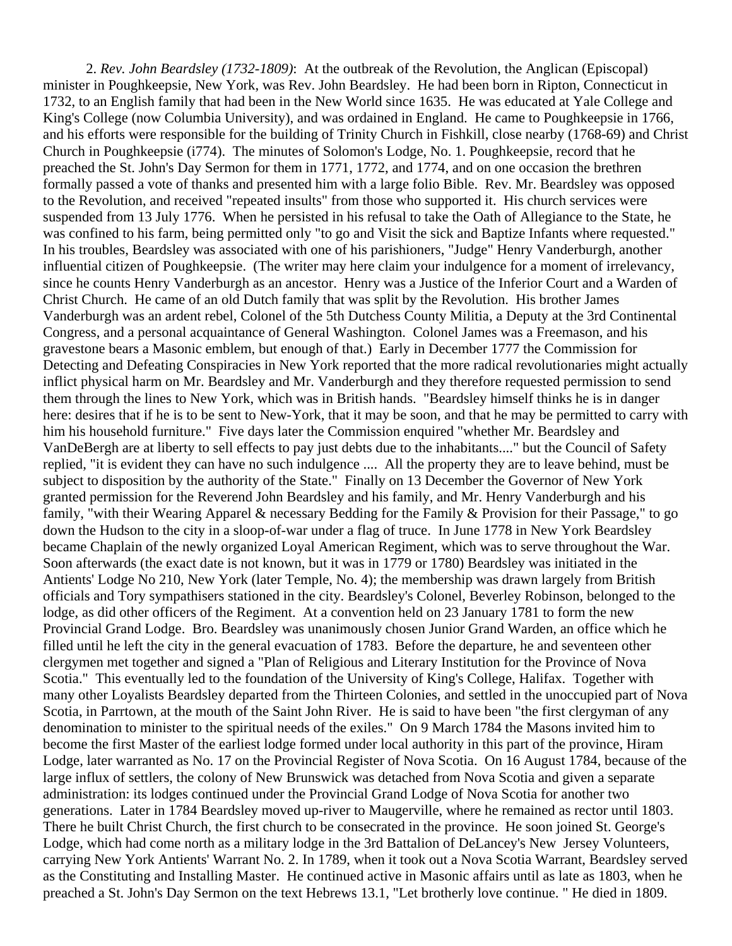2. *Rev. John Beardsley (1732-1809)*: At the outbreak of the Revolution, the Anglican (Episcopal) minister in Poughkeepsie, New York, was Rev. John Beardsley. He had been born in Ripton, Connecticut in 1732, to an English family that had been in the New World since 1635. He was educated at Yale College and King's College (now Columbia University), and was ordained in England. He came to Poughkeepsie in 1766, and his efforts were responsible for the building of Trinity Church in Fishkill, close nearby (1768-69) and Christ Church in Poughkeepsie (i774). The minutes of Solomon's Lodge, No. 1. Poughkeepsie, record that he preached the St. John's Day Sermon for them in 1771, 1772, and 1774, and on one occasion the brethren formally passed a vote of thanks and presented him with a large folio Bible. Rev. Mr. Beardsley was opposed to the Revolution, and received "repeated insults" from those who supported it. His church services were suspended from 13 July 1776. When he persisted in his refusal to take the Oath of Allegiance to the State, he was confined to his farm, being permitted only "to go and Visit the sick and Baptize Infants where requested." In his troubles, Beardsley was associated with one of his parishioners, "Judge" Henry Vanderburgh, another influential citizen of Poughkeepsie. (The writer may here claim your indulgence for a moment of irrelevancy, since he counts Henry Vanderburgh as an ancestor. Henry was a Justice of the Inferior Court and a Warden of Christ Church. He came of an old Dutch family that was split by the Revolution. His brother James Vanderburgh was an ardent rebel, Colonel of the 5th Dutchess County Militia, a Deputy at the 3rd Continental Congress, and a personal acquaintance of General Washington. Colonel James was a Freemason, and his gravestone bears a Masonic emblem, but enough of that.) Early in December 1777 the Commission for Detecting and Defeating Conspiracies in New York reported that the more radical revolutionaries might actually inflict physical harm on Mr. Beardsley and Mr. Vanderburgh and they therefore requested permission to send them through the lines to New York, which was in British hands. "Beardsley himself thinks he is in danger here: desires that if he is to be sent to New-York, that it may be soon, and that he may be permitted to carry with him his household furniture." Five days later the Commission enquired "whether Mr. Beardsley and VanDeBergh are at liberty to sell effects to pay just debts due to the inhabitants...." but the Council of Safety replied, "it is evident they can have no such indulgence .... All the property they are to leave behind, must be subject to disposition by the authority of the State." Finally on 13 December the Governor of New York granted permission for the Reverend John Beardsley and his family, and Mr. Henry Vanderburgh and his family, "with their Wearing Apparel & necessary Bedding for the Family & Provision for their Passage," to go down the Hudson to the city in a sloop-of-war under a flag of truce. In June 1778 in New York Beardsley became Chaplain of the newly organized Loyal American Regiment, which was to serve throughout the War. Soon afterwards (the exact date is not known, but it was in 1779 or 1780) Beardsley was initiated in the Antients' Lodge No 210, New York (later Temple, No. 4); the membership was drawn largely from British officials and Tory sympathisers stationed in the city. Beardsley's Colonel, Beverley Robinson, belonged to the lodge, as did other officers of the Regiment. At a convention held on 23 January 1781 to form the new Provincial Grand Lodge. Bro. Beardsley was unanimously chosen Junior Grand Warden, an office which he filled until he left the city in the general evacuation of 1783. Before the departure, he and seventeen other clergymen met together and signed a "Plan of Religious and Literary Institution for the Province of Nova Scotia." This eventually led to the foundation of the University of King's College, Halifax. Together with many other Loyalists Beardsley departed from the Thirteen Colonies, and settled in the unoccupied part of Nova Scotia, in Parrtown, at the mouth of the Saint John River. He is said to have been "the first clergyman of any denomination to minister to the spiritual needs of the exiles." On 9 March 1784 the Masons invited him to become the first Master of the earliest lodge formed under local authority in this part of the province, Hiram Lodge, later warranted as No. 17 on the Provincial Register of Nova Scotia. On 16 August 1784, because of the large influx of settlers, the colony of New Brunswick was detached from Nova Scotia and given a separate administration: its lodges continued under the Provincial Grand Lodge of Nova Scotia for another two generations. Later in 1784 Beardsley moved up-river to Maugerville, where he remained as rector until 1803. There he built Christ Church, the first church to be consecrated in the province. He soon joined St. George's Lodge, which had come north as a military lodge in the 3rd Battalion of DeLancey's New Jersey Volunteers, carrying New York Antients' Warrant No. 2. In 1789, when it took out a Nova Scotia Warrant, Beardsley served as the Constituting and Installing Master. He continued active in Masonic affairs until as late as 1803, when he preached a St. John's Day Sermon on the text Hebrews 13.1, "Let brotherly love continue. " He died in 1809.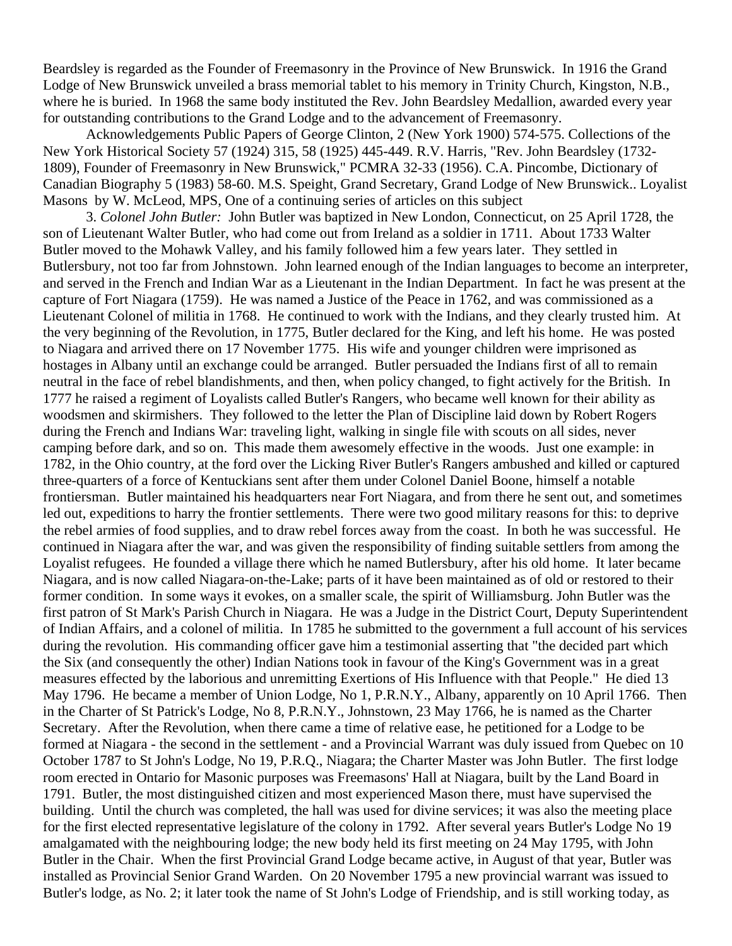Beardsley is regarded as the Founder of Freemasonry in the Province of New Brunswick. In 1916 the Grand Lodge of New Brunswick unveiled a brass memorial tablet to his memory in Trinity Church, Kingston, N.B., where he is buried. In 1968 the same body instituted the Rev. John Beardsley Medallion, awarded every year for outstanding contributions to the Grand Lodge and to the advancement of Freemasonry.

Acknowledgements Public Papers of George Clinton, 2 (New York 1900) 574-575. Collections of the New York Historical Society 57 (1924) 315, 58 (1925) 445-449. R.V. Harris, "Rev. John Beardsley (1732- 1809), Founder of Freemasonry in New Brunswick," PCMRA 32-33 (1956). C.A. Pincombe, Dictionary of Canadian Biography 5 (1983) 58-60. M.S. Speight, Grand Secretary, Grand Lodge of New Brunswick.. Loyalist Masons by W. McLeod, MPS, One of a continuing series of articles on this subject

3. *Colonel John Butler:* John Butler was baptized in New London, Connecticut, on 25 April 1728, the son of Lieutenant Walter Butler, who had come out from Ireland as a soldier in 1711. About 1733 Walter Butler moved to the Mohawk Valley, and his family followed him a few years later. They settled in Butlersbury, not too far from Johnstown. John learned enough of the Indian languages to become an interpreter, and served in the French and Indian War as a Lieutenant in the Indian Department. In fact he was present at the capture of Fort Niagara (1759). He was named a Justice of the Peace in 1762, and was commissioned as a Lieutenant Colonel of militia in 1768. He continued to work with the Indians, and they clearly trusted him. At the very beginning of the Revolution, in 1775, Butler declared for the King, and left his home. He was posted to Niagara and arrived there on 17 November 1775. His wife and younger children were imprisoned as hostages in Albany until an exchange could be arranged. Butler persuaded the Indians first of all to remain neutral in the face of rebel blandishments, and then, when policy changed, to fight actively for the British. In 1777 he raised a regiment of Loyalists called Butler's Rangers, who became well known for their ability as woodsmen and skirmishers. They followed to the letter the Plan of Discipline laid down by Robert Rogers during the French and Indians War: traveling light, walking in single file with scouts on all sides, never camping before dark, and so on. This made them awesomely effective in the woods. Just one example: in 1782, in the Ohio country, at the ford over the Licking River Butler's Rangers ambushed and killed or captured three-quarters of a force of Kentuckians sent after them under Colonel Daniel Boone, himself a notable frontiersman. Butler maintained his headquarters near Fort Niagara, and from there he sent out, and sometimes led out, expeditions to harry the frontier settlements. There were two good military reasons for this: to deprive the rebel armies of food supplies, and to draw rebel forces away from the coast. In both he was successful. He continued in Niagara after the war, and was given the responsibility of finding suitable settlers from among the Loyalist refugees. He founded a village there which he named Butlersbury, after his old home. It later became Niagara, and is now called Niagara-on-the-Lake; parts of it have been maintained as of old or restored to their former condition. In some ways it evokes, on a smaller scale, the spirit of Williamsburg. John Butler was the first patron of St Mark's Parish Church in Niagara. He was a Judge in the District Court, Deputy Superintendent of Indian Affairs, and a colonel of militia. In 1785 he submitted to the government a full account of his services during the revolution. His commanding officer gave him a testimonial asserting that "the decided part which the Six (and consequently the other) Indian Nations took in favour of the King's Government was in a great measures effected by the laborious and unremitting Exertions of His Influence with that People." He died 13 May 1796. He became a member of Union Lodge, No 1, P.R.N.Y., Albany, apparently on 10 April 1766. Then in the Charter of St Patrick's Lodge, No 8, P.R.N.Y., Johnstown, 23 May 1766, he is named as the Charter Secretary. After the Revolution, when there came a time of relative ease, he petitioned for a Lodge to be formed at Niagara - the second in the settlement - and a Provincial Warrant was duly issued from Quebec on 10 October 1787 to St John's Lodge, No 19, P.R.Q., Niagara; the Charter Master was John Butler. The first lodge room erected in Ontario for Masonic purposes was Freemasons' Hall at Niagara, built by the Land Board in 1791. Butler, the most distinguished citizen and most experienced Mason there, must have supervised the building. Until the church was completed, the hall was used for divine services; it was also the meeting place for the first elected representative legislature of the colony in 1792. After several years Butler's Lodge No 19 amalgamated with the neighbouring lodge; the new body held its first meeting on 24 May 1795, with John Butler in the Chair. When the first Provincial Grand Lodge became active, in August of that year, Butler was installed as Provincial Senior Grand Warden. On 20 November 1795 a new provincial warrant was issued to Butler's lodge, as No. 2; it later took the name of St John's Lodge of Friendship, and is still working today, as